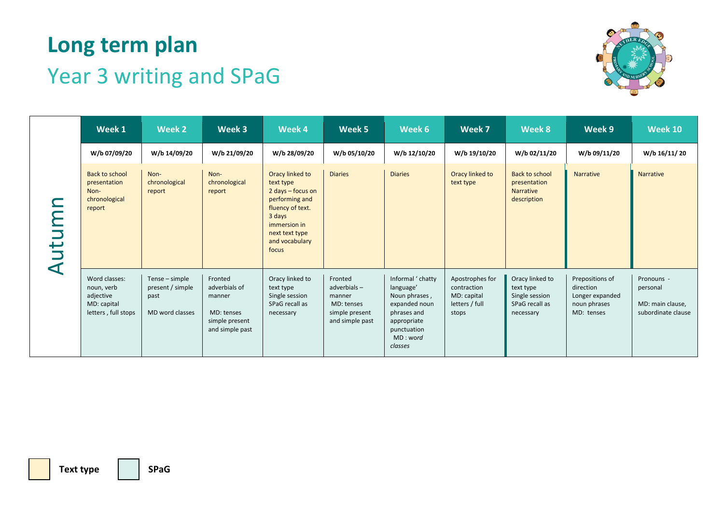

|           | Week 1                                                                         | <b>Week 2</b>                                                 | Week 3                                                                                | Week 4                                                                                                                                                         | Week 5                                                                              | Week 6                                                                                                                               | Week 7                                                                   | Week 8                                                                        | Week 9                                                                        | <b>Week 10</b>                                                   |
|-----------|--------------------------------------------------------------------------------|---------------------------------------------------------------|---------------------------------------------------------------------------------------|----------------------------------------------------------------------------------------------------------------------------------------------------------------|-------------------------------------------------------------------------------------|--------------------------------------------------------------------------------------------------------------------------------------|--------------------------------------------------------------------------|-------------------------------------------------------------------------------|-------------------------------------------------------------------------------|------------------------------------------------------------------|
| Autumr    | W/b 07/09/20                                                                   | W/b 14/09/20                                                  | W/b 21/09/20                                                                          | W/b 28/09/20                                                                                                                                                   | W/b 05/10/20                                                                        | W/b 12/10/20                                                                                                                         | W/b 19/10/20                                                             | W/b 02/11/20                                                                  | W/b 09/11/20                                                                  | W/b 16/11/20                                                     |
|           | <b>Back to school</b><br>presentation<br>Non-<br>chronological<br>report       | Non-<br>chronological<br>report                               | Non-<br>chronological<br>report                                                       | Oracy linked to<br>text type<br>2 days - focus on<br>performing and<br>fluency of text.<br>3 days<br>immersion in<br>next text type<br>and vocabulary<br>focus | <b>Diaries</b>                                                                      | <b>Diaries</b>                                                                                                                       | Oracy linked to<br>text type                                             | <b>Back to school</b><br>presentation<br>Narrative<br>description             | <b>Narrative</b>                                                              | Narrative                                                        |
|           | Word classes:<br>noun, verb<br>adjective<br>MD: capital<br>letters, full stops | Tense - simple<br>present / simple<br>past<br>MD word classes | Fronted<br>adverbials of<br>manner<br>MD: tenses<br>simple present<br>and simple past | Oracy linked to<br>text type<br>Single session<br>SPaG recall as<br>necessary                                                                                  | Fronted<br>adverbials-<br>manner<br>MD: tenses<br>simple present<br>and simple past | Informal ' chatty<br>language'<br>Noun phrases,<br>expanded noun<br>phrases and<br>appropriate<br>punctuation<br>MD: word<br>classes | Apostrophes for<br>contraction<br>MD: capital<br>letters / full<br>stops | Oracy linked to<br>text type<br>Single session<br>SPaG recall as<br>necessary | Prepositions of<br>direction<br>Longer expanded<br>noun phrases<br>MD: tenses | Pronouns -<br>personal<br>MD: main clause,<br>subordinate clause |
|           |                                                                                |                                                               |                                                                                       |                                                                                                                                                                |                                                                                     |                                                                                                                                      |                                                                          |                                                                               |                                                                               |                                                                  |
| Text type |                                                                                | <b>SPaG</b>                                                   |                                                                                       |                                                                                                                                                                |                                                                                     |                                                                                                                                      |                                                                          |                                                                               |                                                                               |                                                                  |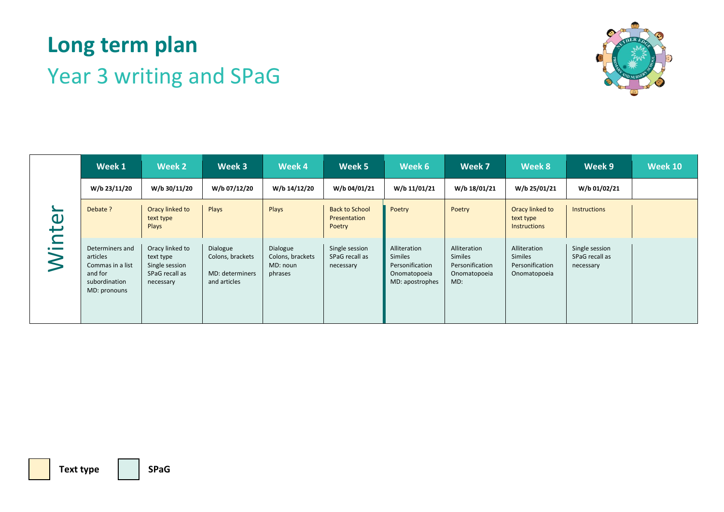

|        | Week 1                                                                                      | Week 2                                                                        | Week 3                                                          | Week 4                                              | Week 5                                          | Week 6                                                                        | Week 7                                                            | Week 8                                                     | Week 9                                        | <b>Week 10</b> |
|--------|---------------------------------------------------------------------------------------------|-------------------------------------------------------------------------------|-----------------------------------------------------------------|-----------------------------------------------------|-------------------------------------------------|-------------------------------------------------------------------------------|-------------------------------------------------------------------|------------------------------------------------------------|-----------------------------------------------|----------------|
|        | W/b 23/11/20                                                                                | W/b 30/11/20                                                                  | W/b 07/12/20                                                    | W/b 14/12/20                                        | W/b 04/01/21                                    | W/b 11/01/21                                                                  | W/b 18/01/21                                                      | W/b 25/01/21                                               | W/b 01/02/21                                  |                |
|        | Debate ?                                                                                    | Oracy linked to<br>text type<br>Plays                                         | Plays                                                           | Plays                                               | <b>Back to School</b><br>Presentation<br>Poetry | Poetry                                                                        | Poetry                                                            | Oracy linked to<br>text type<br><b>Instructions</b>        | Instructions                                  |                |
| Winter | Determiners and<br>articles<br>Commas in a list<br>and for<br>subordination<br>MD: pronouns | Oracy linked to<br>text type<br>Single session<br>SPaG recall as<br>necessary | Dialogue<br>Colons, brackets<br>MD: determiners<br>and articles | Dialogue<br>Colons, brackets<br>MD: noun<br>phrases | Single session<br>SPaG recall as<br>necessary   | Alliteration<br>Similes<br>Personification<br>Onomatopoeia<br>MD: apostrophes | Alliteration<br>Similes<br>Personification<br>Onomatopoeia<br>MD: | Alliteration<br>Similes<br>Personification<br>Onomatopoeia | Single session<br>SPaG recall as<br>necessary |                |
|        |                                                                                             |                                                                               |                                                                 |                                                     |                                                 |                                                                               |                                                                   |                                                            |                                               |                |
|        |                                                                                             |                                                                               |                                                                 |                                                     |                                                 |                                                                               |                                                                   |                                                            |                                               |                |
|        | <b>Text type</b>                                                                            | <b>SPaG</b>                                                                   |                                                                 |                                                     |                                                 |                                                                               |                                                                   |                                                            |                                               |                |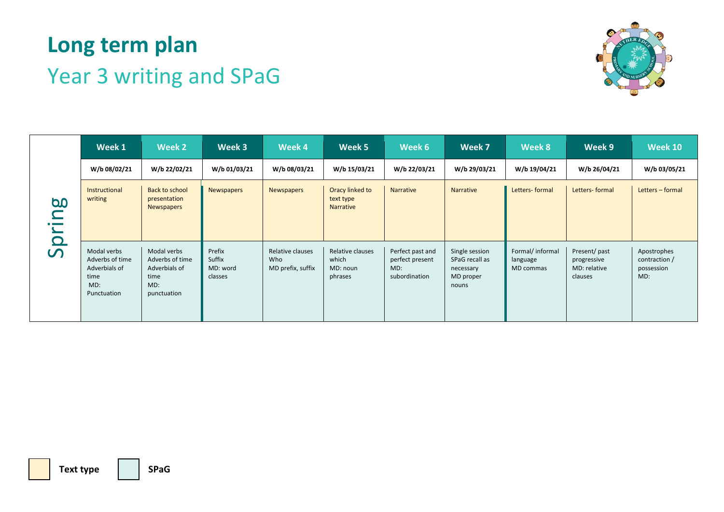

|                  | Week 1                                                                        | Week 2                                                                        | Week 3                                  | Week 4                                       | Week 5                                           | Week 6                                                      | Week 7                                                              | Week 8                                    | Week 9                                                  | <b>Week 10</b>                                    |
|------------------|-------------------------------------------------------------------------------|-------------------------------------------------------------------------------|-----------------------------------------|----------------------------------------------|--------------------------------------------------|-------------------------------------------------------------|---------------------------------------------------------------------|-------------------------------------------|---------------------------------------------------------|---------------------------------------------------|
|                  | W/b 08/02/21                                                                  | W/b 22/02/21                                                                  | W/b 01/03/21                            | W/b 08/03/21                                 | W/b 15/03/21                                     | W/b 22/03/21                                                | W/b 29/03/21                                                        | W/b 19/04/21                              | W/b 26/04/21                                            | W/b 03/05/21                                      |
| Spring           | Instructional<br>writing                                                      | <b>Back to school</b><br>presentation<br>Newspapers                           | <b>Newspapers</b>                       | <b>Newspapers</b>                            | Oracy linked to<br>text type<br>Narrative        | Narrative                                                   | Narrative                                                           | Letters- formal                           | Letters- formal                                         | Letters - formal                                  |
|                  | Modal verbs<br>Adverbs of time<br>Adverbials of<br>time<br>MD:<br>Punctuation | Modal verbs<br>Adverbs of time<br>Adverbials of<br>time<br>MD:<br>punctuation | Prefix<br>Suffix<br>MD: word<br>classes | Relative clauses<br>Who<br>MD prefix, suffix | Relative clauses<br>which<br>MD: noun<br>phrases | Perfect past and<br>perfect present<br>MD:<br>subordination | Single session<br>SPaG recall as<br>necessary<br>MD proper<br>nouns | Formal/ informal<br>language<br>MD commas | Present/ past<br>progressive<br>MD: relative<br>clauses | Apostrophes<br>contraction /<br>possession<br>MD: |
|                  |                                                                               |                                                                               |                                         |                                              |                                                  |                                                             |                                                                     |                                           |                                                         |                                                   |
|                  |                                                                               |                                                                               |                                         |                                              |                                                  |                                                             |                                                                     |                                           |                                                         |                                                   |
| <b>Text type</b> |                                                                               | <b>SPaG</b>                                                                   |                                         |                                              |                                                  |                                                             |                                                                     |                                           |                                                         |                                                   |